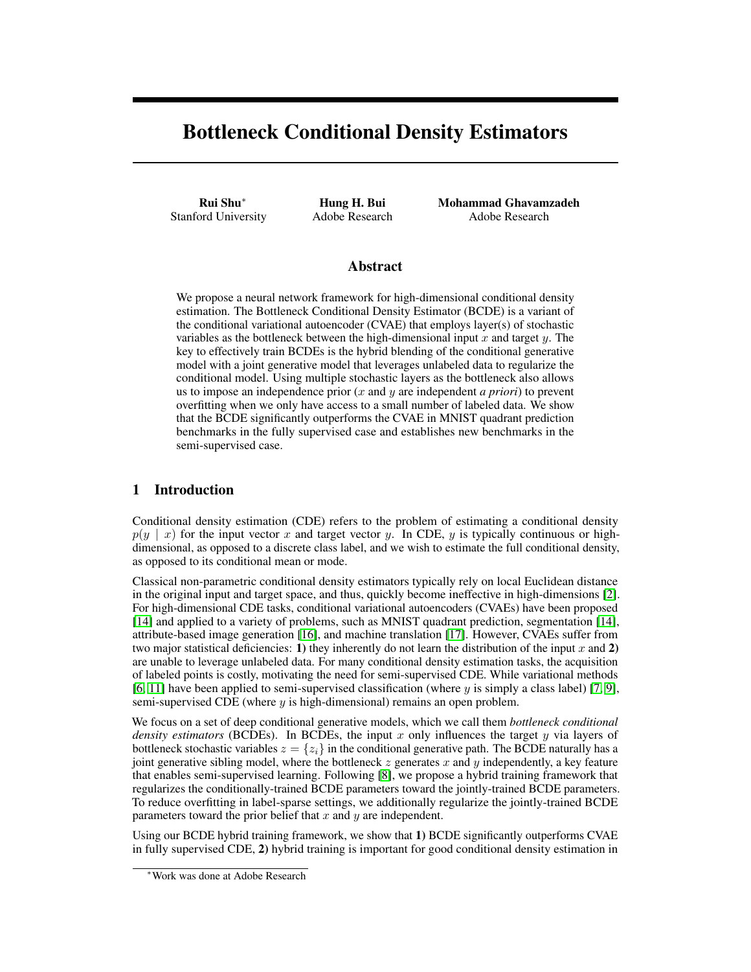# Bottleneck Conditional Density Estimators

Rui Shu<sup>∗</sup> Stanford University

Hung H. Bui Adobe Research Mohammad Ghavamzadeh Adobe Research

## Abstract

We propose a neural network framework for high-dimensional conditional density estimation. The Bottleneck Conditional Density Estimator (BCDE) is a variant of the conditional variational autoencoder (CVAE) that employs layer(s) of stochastic variables as the bottleneck between the high-dimensional input  $x$  and target  $y$ . The key to effectively train BCDEs is the hybrid blending of the conditional generative model with a joint generative model that leverages unlabeled data to regularize the conditional model. Using multiple stochastic layers as the bottleneck also allows us to impose an independence prior (x and y are independent *a priori*) to prevent overfitting when we only have access to a small number of labeled data. We show that the BCDE significantly outperforms the CVAE in MNIST quadrant prediction benchmarks in the fully supervised case and establishes new benchmarks in the semi-supervised case.

## 1 Introduction

Conditional density estimation (CDE) refers to the problem of estimating a conditional density  $p(y \mid x)$  for the input vector x and target vector y. In CDE, y is typically continuous or highdimensional, as opposed to a discrete class label, and we wish to estimate the full conditional density, as opposed to its conditional mean or mode.

Classical non-parametric conditional density estimators typically rely on local Euclidean distance in the original input and target space, and thus, quickly become ineffective in high-dimensions [\[2\]](#page-4-0). For high-dimensional CDE tasks, conditional variational autoencoders (CVAEs) have been proposed [\[14\]](#page-4-1) and applied to a variety of problems, such as MNIST quadrant prediction, segmentation [\[14\]](#page-4-1), attribute-based image generation [\[16\]](#page-4-2), and machine translation [\[17\]](#page-4-3). However, CVAEs suffer from two major statistical deficiencies: 1) they inherently do not learn the distribution of the input  $x$  and 2) are unable to leverage unlabeled data. For many conditional density estimation tasks, the acquisition of labeled points is costly, motivating the need for semi-supervised CDE. While variational methods [\[6,](#page-4-4) [11\]](#page-4-5) have been applied to semi-supervised classification (where  $y$  is simply a class label) [\[7,](#page-4-6) [9\]](#page-4-7), semi-supervised CDE (where  $y$  is high-dimensional) remains an open problem.

We focus on a set of deep conditional generative models, which we call them *bottleneck conditional density estimators* (BCDEs). In BCDEs, the input  $x$  only influences the target  $y$  via layers of bottleneck stochastic variables  $z = \{z_i\}$  in the conditional generative path. The BCDE naturally has a joint generative sibling model, where the bottleneck  $z$  generates  $x$  and  $y$  independently, a key feature that enables semi-supervised learning. Following [\[8\]](#page-4-8), we propose a hybrid training framework that regularizes the conditionally-trained BCDE parameters toward the jointly-trained BCDE parameters. To reduce overfitting in label-sparse settings, we additionally regularize the jointly-trained BCDE parameters toward the prior belief that  $x$  and  $y$  are independent.

Using our BCDE hybrid training framework, we show that 1) BCDE significantly outperforms CVAE in fully supervised CDE, 2) hybrid training is important for good conditional density estimation in

<sup>∗</sup>Work was done at Adobe Research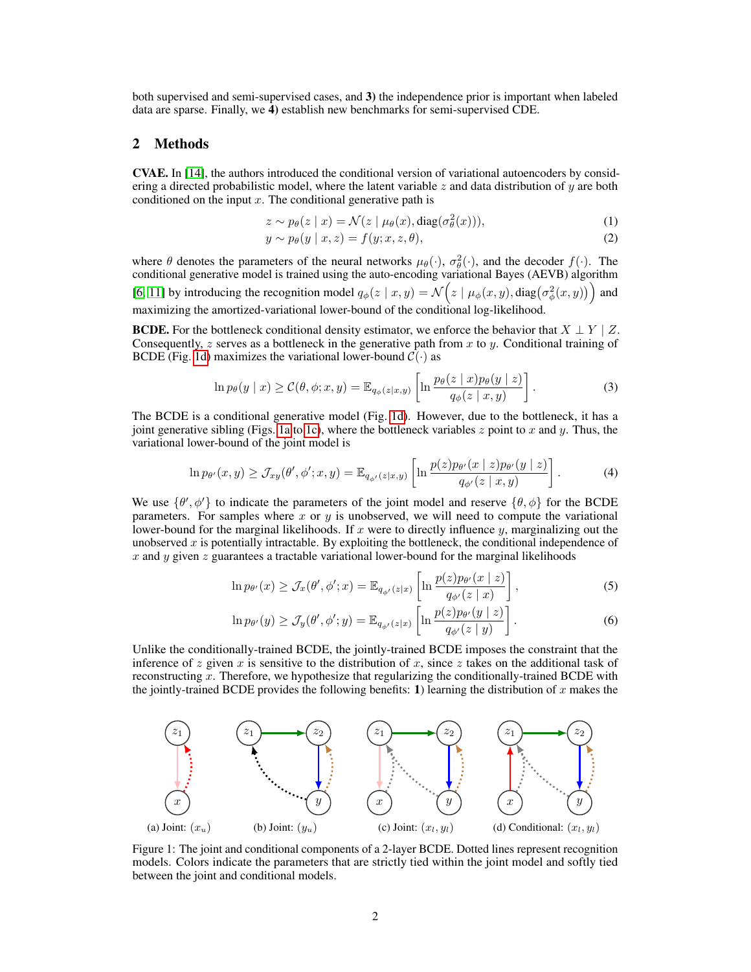both supervised and semi-supervised cases, and 3) the independence prior is important when labeled data are sparse. Finally, we 4) establish new benchmarks for semi-supervised CDE.

## 2 Methods

CVAE. In [\[14\]](#page-4-1), the authors introduced the conditional version of variational autoencoders by considering a directed probabilistic model, where the latent variable z and data distribution of  $\gamma$  are both conditioned on the input  $x$ . The conditional generative path is

$$
z \sim p_{\theta}(z \mid x) = \mathcal{N}(z \mid \mu_{\theta}(x), \text{diag}(\sigma_{\theta}^{2}(x))), \tag{1}
$$

$$
y \sim p_{\theta}(y \mid x, z) = f(y; x, z, \theta), \tag{2}
$$

where  $\theta$  denotes the parameters of the neural networks  $\mu_{\theta}(\cdot)$ ,  $\sigma_{\theta}^{2}(\cdot)$ , and the decoder  $f(\cdot)$ . The conditional generative model is trained using the auto-encoding variational Bayes (AEVB) algorithm [\[6,](#page-4-4) [11\]](#page-4-5) by introducing the recognition model  $q_{\phi}(z | x, y) = \mathcal{N}(z | \mu_{\phi}(x, y), \text{diag}(\sigma_{\phi}^2(x, y)))$  and maximizing the amortized-variational lower-bound of the conditional log-likelihood.

**BCDE.** For the bottleneck conditional density estimator, we enforce the behavior that  $X \perp Y \mid Z$ . Consequently,  $z$  serves as a bottleneck in the generative path from  $x$  to  $y$ . Conditional training of BCDE (Fig. [1d\)](#page-1-0) maximizes the variational lower-bound  $C(\cdot)$  as

$$
\ln p_{\theta}(y \mid x) \geq \mathcal{C}(\theta, \phi; x, y) = \mathbb{E}_{q_{\phi}(z \mid x, y)} \left[ \ln \frac{p_{\theta}(z \mid x) p_{\theta}(y \mid z)}{q_{\phi}(z \mid x, y)} \right]. \tag{3}
$$

The BCDE is a conditional generative model (Fig. [1d\)](#page-1-0). However, due to the bottleneck, it has a joint generative sibling (Figs. [1a](#page-1-0) to [1c\)](#page-1-0), where the bottleneck variables  $z$  point to x and y. Thus, the variational lower-bound of the joint model is

$$
\ln p_{\theta'}(x,y) \ge \mathcal{J}_{xy}(\theta',\phi';x,y) = \mathbb{E}_{q_{\phi'}(z|x,y)} \left[ \ln \frac{p(z) p_{\theta'}(x \mid z) p_{\theta'}(y \mid z)}{q_{\phi'}(z \mid x,y)} \right]. \tag{4}
$$

We use  $\{\theta', \phi'\}$  to indicate the parameters of the joint model and reserve  $\{\theta, \phi\}$  for the BCDE parameters. For samples where x or y is unobserved, we will need to compute the variational lower-bound for the marginal likelihoods. If x were to directly influence  $y$ , marginalizing out the unobserved  $x$  is potentially intractable. By exploiting the bottleneck, the conditional independence of x and y given z guarantees a tractable variational lower-bound for the marginal likelihoods

$$
\ln p_{\theta'}(x) \ge \mathcal{J}_x(\theta', \phi'; x) = \mathbb{E}_{q_{\phi'}(z|x)} \left[ \ln \frac{p(z) p_{\theta'}(x \mid z)}{q_{\phi'}(z \mid x)} \right],\tag{5}
$$

$$
\ln p_{\theta'}(y) \ge \mathcal{J}_y(\theta', \phi'; y) = \mathbb{E}_{q_{\phi'}(z|x)} \left[ \ln \frac{p(z) p_{\theta'}(y \mid z)}{q_{\phi'}(z \mid y)} \right]. \tag{6}
$$

Unlike the conditionally-trained BCDE, the jointly-trained BCDE imposes the constraint that the inference of z given x is sensitive to the distribution of x, since z takes on the additional task of reconstructing x. Therefore, we hypothesize that regularizing the conditionally-trained BCDE with the jointly-trained BCDE provides the following benefits: 1) learning the distribution of x makes the

<span id="page-1-0"></span>

Figure 1: The joint and conditional components of a 2-layer BCDE. Dotted lines represent recognition models. Colors indicate the parameters that are strictly tied within the joint model and softly tied between the joint and conditional models.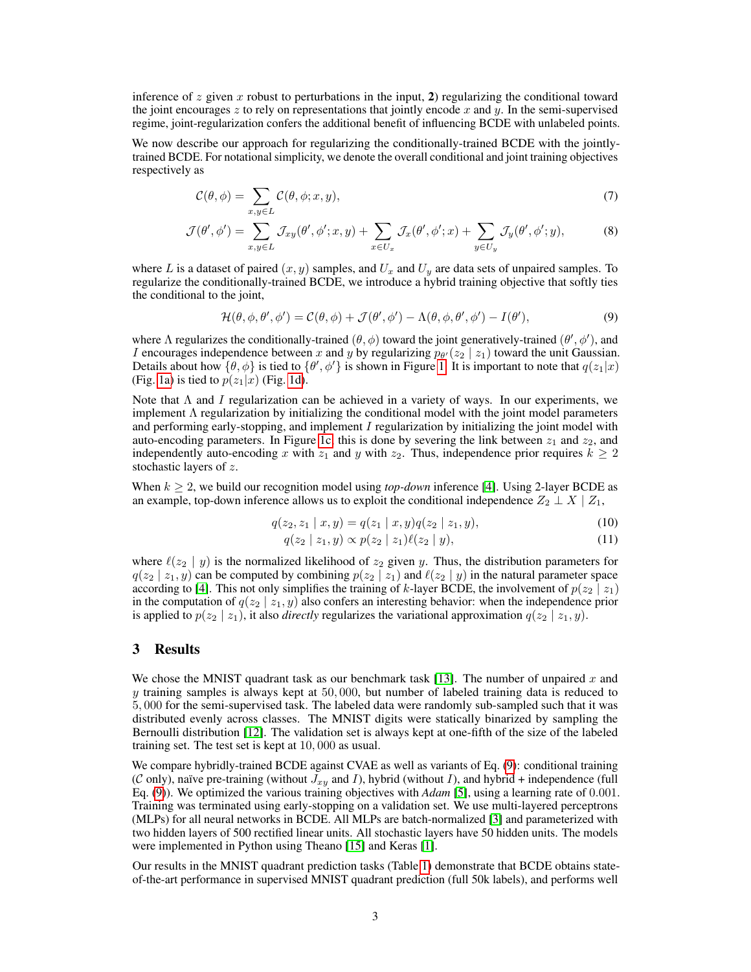inference of z given x robust to perturbations in the input, 2) regularizing the conditional toward the joint encourages z to rely on representations that jointly encode x and y. In the semi-supervised regime, joint-regularization confers the additional benefit of influencing BCDE with unlabeled points.

We now describe our approach for regularizing the conditionally-trained BCDE with the jointlytrained BCDE. For notational simplicity, we denote the overall conditional and joint training objectives respectively as

$$
\mathcal{C}(\theta,\phi) = \sum_{x,y \in L} \mathcal{C}(\theta,\phi;x,y),\tag{7}
$$

$$
\mathcal{J}(\theta', \phi') = \sum_{x,y \in L} \mathcal{J}_{xy}(\theta', \phi'; x, y) + \sum_{x \in U_x} \mathcal{J}_x(\theta', \phi'; x) + \sum_{y \in U_y} \mathcal{J}_y(\theta', \phi'; y), \tag{8}
$$

where L is a dataset of paired  $(x, y)$  samples, and  $U_x$  and  $U_y$  are data sets of unpaired samples. To regularize the conditionally-trained BCDE, we introduce a hybrid training objective that softly ties the conditional to the joint,

<span id="page-2-0"></span>
$$
\mathcal{H}(\theta,\phi,\theta',\phi') = \mathcal{C}(\theta,\phi) + \mathcal{J}(\theta',\phi') - \Lambda(\theta,\phi,\theta',\phi') - I(\theta'),\tag{9}
$$

where  $\Lambda$  regularizes the conditionally-trained  $(\theta, \phi)$  toward the joint generatively-trained  $(\theta', \phi')$ , and *I* encourages independence between x and y by regularizing  $p_{\theta}(z_2 | z_1)$  toward the unit Gaussian. Details about how  $\{\theta, \phi\}$  is tied to  $\{\theta', \phi'\}$  is shown in Figure [1.](#page-1-0) It is important to note that  $q(z_1|x)$ (Fig. [1a\)](#page-1-0) is tied to  $p(z_1|x)$  (Fig. [1d\)](#page-1-0).

Note that  $\Lambda$  and I regularization can be achieved in a variety of ways. In our experiments, we implement  $\Lambda$  regularization by initializing the conditional model with the joint model parameters and performing early-stopping, and implement I regularization by initializing the joint model with auto-encoding parameters. In Figure [1c,](#page-1-0) this is done by severing the link between  $z_1$  and  $z_2$ , and independently auto-encoding x with  $z_1$  and y with  $z_2$ . Thus, independence prior requires  $k \geq 2$ stochastic layers of z.

When  $k \geq 2$ , we build our recognition model using *top-down* inference [\[4\]](#page-4-9). Using 2-layer BCDE as an example, top-down inference allows us to exploit the conditional independence  $Z_2 \perp X \mid Z_1$ ,

$$
q(z_2, z_1 \mid x, y) = q(z_1 \mid x, y)q(z_2 \mid z_1, y), \tag{10}
$$

$$
q(z_2 \mid z_1, y) \propto p(z_2 \mid z_1) \ell(z_2 \mid y), \tag{11}
$$

where  $\ell(z_2 | y)$  is the normalized likelihood of  $z_2$  given y. Thus, the distribution parameters for  $q(z_2 | z_1, y)$  can be computed by combining  $p(z_2 | z_1)$  and  $\ell(z_2 | y)$  in the natural parameter space according to [\[4\]](#page-4-9). This not only simplifies the training of k-layer BCDE, the involvement of  $p(z_2 | z_1)$ in the computation of  $q(z_2 | z_1, y)$  also confers an interesting behavior: when the independence prior is applied to  $p(z_2 | z_1)$ , it also *directly* regularizes the variational approximation  $q(z_2 | z_1, y)$ .

#### 3 Results

We chose the MNIST quadrant task as our benchmark task  $[13]$ . The number of unpaired x and y training samples is always kept at  $50,000$ , but number of labeled training data is reduced to 5, 000 for the semi-supervised task. The labeled data were randomly sub-sampled such that it was distributed evenly across classes. The MNIST digits were statically binarized by sampling the Bernoulli distribution [\[12\]](#page-4-11). The validation set is always kept at one-fifth of the size of the labeled training set. The test set is kept at 10, 000 as usual.

We compare hybridly-trained BCDE against CVAE as well as variants of Eq. [\(9\)](#page-2-0): conditional training (C only), naïve pre-training (without  $J_{xy}$  and I), hybrid (without I), and hybrid + independence (full Eq. [\(9\)](#page-2-0)). We optimized the various training objectives with *Adam* [\[5\]](#page-4-12), using a learning rate of 0.001. Training was terminated using early-stopping on a validation set. We use multi-layered perceptrons (MLPs) for all neural networks in BCDE. All MLPs are batch-normalized [\[3\]](#page-4-13) and parameterized with two hidden layers of 500 rectified linear units. All stochastic layers have 50 hidden units. The models were implemented in Python using Theano [\[15\]](#page-4-14) and Keras [\[1\]](#page-4-15).

Our results in the MNIST quadrant prediction tasks (Table [1\)](#page-3-0) demonstrate that BCDE obtains stateof-the-art performance in supervised MNIST quadrant prediction (full 50k labels), and performs well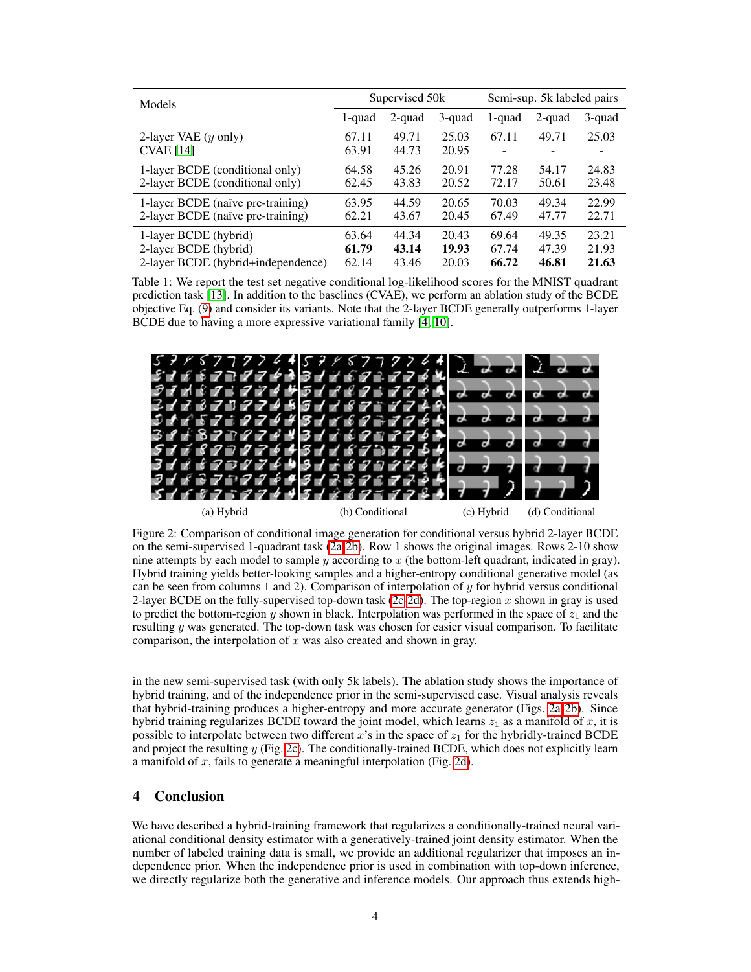<span id="page-3-0"></span>

| Models                                             | Supervised 50k |                |                | Semi-sup. 5k labeled pairs        |        |        |
|----------------------------------------------------|----------------|----------------|----------------|-----------------------------------|--------|--------|
|                                                    | 1-quad         | 2-quad         | 3-quad         | 1-quad                            | 2-quad | 3-quad |
| 2-layer VAE $(y \text{ only})$<br><b>CVAE</b> [14] | 67.11<br>63.91 | 49.71<br>44.73 | 25.03<br>20.95 | 67.11<br>$\overline{\phantom{0}}$ | 49.71  | 25.03  |
| 1-layer BCDE (conditional only)                    | 64.58          | 45.26          | 20.91          | 77.28                             | 54.17  | 24.83  |
| 2-layer BCDE (conditional only)                    | 62.45          | 43.83          | 20.52          | 72.17                             | 50.61  | 23.48  |
| 1-layer BCDE (naïve pre-training)                  | 63.95          | 44.59          | 20.65          | 70.03                             | 49.34  | 22.99  |
| 2-layer BCDE (naïve pre-training)                  | 62.21          | 43.67          | 20.45          | 67.49                             | 47.77  | 22.71  |
| 1-layer BCDE (hybrid)                              | 63.64          | 44.34          | 20.43          | 69.64                             | 49.35  | 23.21  |
| 2-layer BCDE (hybrid)                              | 61.79          | 43.14          | 19.93          | 67.74                             | 47.39  | 21.93  |
| 2-layer BCDE (hybrid+independence)                 | 62.14          | 43.46          | 20.03          | 66.72                             | 46.81  | 21.63  |

Table 1: We report the test set negative conditional log-likelihood scores for the MNIST quadrant prediction task [\[13\]](#page-4-10). In addition to the baselines (CVAE), we perform an ablation study of the BCDE objective Eq. [\(9\)](#page-2-0) and consider its variants. Note that the 2-layer BCDE generally outperforms 1-layer BCDE due to having a more expressive variational family [\[4,](#page-4-9) [10\]](#page-4-16).

<span id="page-3-1"></span>

Figure 2: Comparison of conditional image generation for conditional versus hybrid 2-layer BCDE on the semi-supervised 1-quadrant task [\(2a-2b\)](#page-3-1). Row 1 shows the original images. Rows 2-10 show nine attempts by each model to sample  $y$  according to  $x$  (the bottom-left quadrant, indicated in gray). Hybrid training yields better-looking samples and a higher-entropy conditional generative model (as can be seen from columns 1 and 2). Comparison of interpolation of  $y$  for hybrid versus conditional 2-layer BCDE on the fully-supervised top-down task [\(2c-2d\)](#page-3-1). The top-region x shown in gray is used to predict the bottom-region y shown in black. Interpolation was performed in the space of  $z_1$  and the resulting y was generated. The top-down task was chosen for easier visual comparison. To facilitate comparison, the interpolation of  $\overline{x}$  was also created and shown in gray.

in the new semi-supervised task (with only 5k labels). The ablation study shows the importance of hybrid training, and of the independence prior in the semi-supervised case. Visual analysis reveals that hybrid-training produces a higher-entropy and more accurate generator (Figs. [2a-2b\)](#page-3-1). Since hybrid training regularizes BCDE toward the joint model, which learns  $z_1$  as a manifold of x, it is possible to interpolate between two different x's in the space of  $z<sub>1</sub>$  for the hybridly-trained BCDE and project the resulting  $y$  (Fig. [2c\)](#page-3-1). The conditionally-trained BCDE, which does not explicitly learn a manifold of x, fails to generate a meaningful interpolation (Fig. [2d\)](#page-3-1).

#### 4 Conclusion

We have described a hybrid-training framework that regularizes a conditionally-trained neural variational conditional density estimator with a generatively-trained joint density estimator. When the number of labeled training data is small, we provide an additional regularizer that imposes an independence prior. When the independence prior is used in combination with top-down inference, we directly regularize both the generative and inference models. Our approach thus extends high